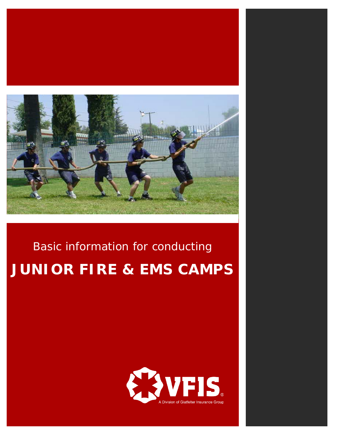

# Basic information for conducting **JUNIOR FIRE & EMS CAMPS**



 $\mathcal{L}^{\mathcal{L}}$  and  $\mathcal{L}^{\mathcal{L}}$  and  $\mathcal{L}^{\mathcal{L}}$  and  $\mathcal{L}^{\mathcal{L}}$  and  $\mathcal{L}^{\mathcal{L}}$  and  $\mathcal{L}^{\mathcal{L}}$  and  $\mathcal{L}^{\mathcal{L}}$  and  $\mathcal{L}^{\mathcal{L}}$  and  $\mathcal{L}^{\mathcal{L}}$  and  $\mathcal{L}^{\mathcal{L}}$  and  $\mathcal{L}^{\mathcal{L}}$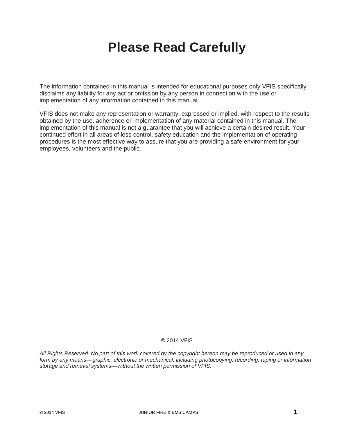## **Please Read Carefully**

The information contained in this manual is intended for educational purposes only VFIS specifically disclaims any liability for any act or omission by any person in connection with the use or implementation of any information contained in this manual.

VFIS does not make any representation or warranty, expressed or implied, with respect to the results obtained by the use, adherence or implementation of any material contained in this manual. The implementation of this manual is not a guarantee that you will achieve a certain desired result. Your continued effort in all areas of loss control, safety education and the implementation of operating procedures is the most effective way to assure that you are providing a safe environment for your employees, volunteers and the public.

### © 2014 VFIS

*All Rights Reserved. No part of this work covered by the copyright hereon may be reproduced or used in any form by any means––graphic, electronic or mechanical, including photocopying, recording, taping or information storage and retrieval systems––without the written permission of VFIS.*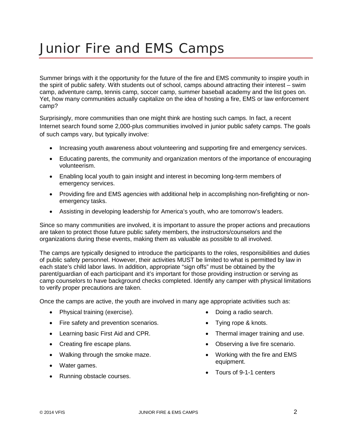## Junior Fire and EMS Camps

Summer brings with it the opportunity for the future of the fire and EMS community to inspire youth in the spirit of public safety. With students out of school, camps abound attracting their interest – swim camp, adventure camp, tennis camp, soccer camp, summer baseball academy and the list goes on. Yet, how many communities actually capitalize on the idea of hosting a fire, EMS or law enforcement camp?

Surprisingly, more communities than one might think are hosting such camps. In fact, a recent Internet search found some 2,000-plus communities involved in junior public safety camps. The goals of such camps vary, but typically involve:

- Increasing youth awareness about volunteering and supporting fire and emergency services.
- Educating parents, the community and organization mentors of the importance of encouraging volunteerism.
- Enabling local youth to gain insight and interest in becoming long-term members of emergency services.
- Providing fire and EMS agencies with additional help in accomplishing non-firefighting or nonemergency tasks.
- Assisting in developing leadership for America's youth, who are tomorrow's leaders.

Since so many communities are involved, it is important to assure the proper actions and precautions are taken to protect those future public safety members, the instructors/counselors and the organizations during these events, making them as valuable as possible to all involved.

The camps are typically designed to introduce the participants to the roles, responsibilities and duties of public safety personnel. However, their activities MUST be limited to what is permitted by law in each state's child labor laws. In addition, appropriate "sign offs" must be obtained by the parent/guardian of each participant and it's important for those providing instruction or serving as camp counselors to have background checks completed. Identify any camper with physical limitations to verify proper precautions are taken.

Once the camps are active, the youth are involved in many age appropriate activities such as:

- Physical training (exercise).
- Fire safety and prevention scenarios.
- Learning basic First Aid and CPR.
- Creating fire escape plans.
- Walking through the smoke maze.
- Water games.
- Running obstacle courses.
- Doing a radio search.
- Tying rope & knots.
- Thermal imager training and use.
- Observing a live fire scenario.
- Working with the fire and EMS equipment.
- Tours of 9-1-1 centers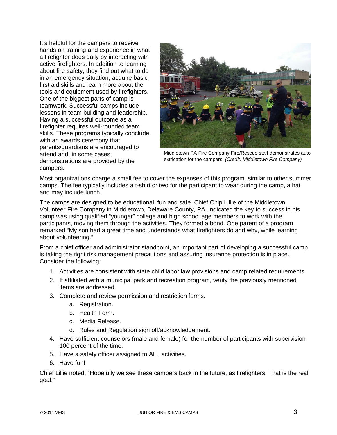It's helpful for the campers to receive hands on training and experience in what a firefighter does daily by interacting with active firefighters. In addition to learning about fire safety, they find out what to do in an emergency situation, acquire basic first aid skills and learn more about the tools and equipment used by firefighters. One of the biggest parts of camp is teamwork. Successful camps include lessons in team building and leadership. Having a successful outcome as a firefighter requires well-rounded team skills. These programs typically conclude with an awards ceremony that parents/guardians are encouraged to attend and, in some cases, demonstrations are provided by the campers.



Middletown PA Fire Company Fire/Rescue staff demonstrates auto extrication for the campers. *(Credit: Middletown Fire Company)*

Most organizations charge a small fee to cover the expenses of this program, similar to other summer camps. The fee typically includes a t-shirt or two for the participant to wear during the camp, a hat and may include lunch.

The camps are designed to be educational, fun and safe. Chief Chip Lillie of the Middletown Volunteer Fire Company in Middletown, Delaware County, PA, indicated the key to success in his camp was using qualified "younger" college and high school age members to work with the participants, moving them through the activities. They formed a bond. One parent of a program remarked "My son had a great time and understands what firefighters do and why, while learning about volunteering."

From a chief officer and administrator standpoint, an important part of developing a successful camp is taking the right risk management precautions and assuring insurance protection is in place. Consider the following:

- 1. Activities are consistent with state child labor law provisions and camp related requirements.
- 2. If affiliated with a municipal park and recreation program, verify the previously mentioned items are addressed.
- 3. Complete and review permission and restriction forms.
	- a. Registration.
	- b. Health Form.
	- c. Media Release.
	- d. Rules and Regulation sign off/acknowledgement.
- 4. Have sufficient counselors (male and female) for the number of participants with supervision 100 percent of the time.
- 5. Have a safety officer assigned to ALL activities.
- 6. Have fun!

Chief Lillie noted, "Hopefully we see these campers back in the future, as firefighters. That is the real goal."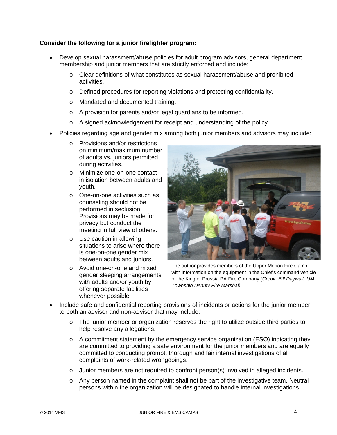## **Consider the following for a junior firefighter program:**

- Develop sexual harassment/abuse policies for adult program advisors, general department membership and junior members that are strictly enforced and include:
	- o Clear definitions of what constitutes as sexual harassment/abuse and prohibited activities.
	- o Defined procedures for reporting violations and protecting confidentiality.
	- o Mandated and documented training.
	- o A provision for parents and/or legal guardians to be informed.
	- o A signed acknowledgement for receipt and understanding of the policy.
- Policies regarding age and gender mix among both junior members and advisors may include:
	- o Provisions and/or restrictions on minimum/maximum number of adults vs. juniors permitted during activities.
	- o Minimize one-on-one contact in isolation between adults and youth.
	- o One-on-one activities such as counseling should not be performed in seclusion. Provisions may be made for privacy but conduct the meeting in full view of others.
	- o Use caution in allowing situations to arise where there is one-on-one gender mix between adults and juniors.
	- o Avoid one-on-one and mixed gender sleeping arrangements with adults and/or youth by offering separate facilities whenever possible.



The author provides members of the Upper Merion Fire Camp with information on the equipment in the Chief's command vehicle of the King of Prussia PA Fire Company *(Credit: Bill Daywalt, UM Township Deputy Fire Marshal)*

- Include safe and confidential reporting provisions of incidents or actions for the junior member to both an advisor and non-advisor that may include:
	- o The junior member or organization reserves the right to utilize outside third parties to help resolve any allegations.
	- $\circ$  A commitment statement by the emergency service organization (ESO) indicating they are committed to providing a safe environment for the junior members and are equally committed to conducting prompt, thorough and fair internal investigations of all complaints of work-related wrongdoings.
	- o Junior members are not required to confront person(s) involved in alleged incidents.
	- o Any person named in the complaint shall not be part of the investigative team. Neutral persons within the organization will be designated to handle internal investigations.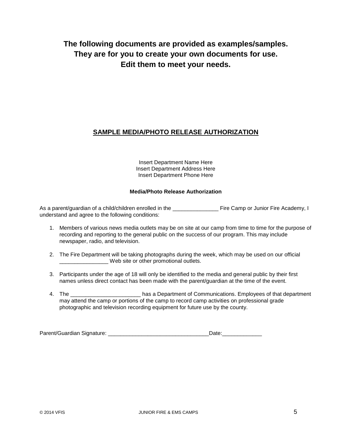## **The following documents are provided as examples/samples. They are for you to create your own documents for use. Edit them to meet your needs.**

## **SAMPLE MEDIA/PHOTO RELEASE AUTHORIZATION**

Insert Department Name Here Insert Department Address Here Insert Department Phone Here

## **Media/Photo Release Authorization**

As a parent/guardian of a child/children enrolled in the \_\_\_\_\_\_\_\_\_\_\_\_\_\_\_\_\_\_\_\_\_\_ Fire Camp or Junior Fire Academy, I understand and agree to the following conditions:

- 1. Members of various news media outlets may be on site at our camp from time to time for the purpose of recording and reporting to the general public on the success of our program. This may include newspaper, radio, and television.
- 2. The Fire Department will be taking photographs during the week, which may be used on our official Web site or other promotional outlets.
- 3. Participants under the age of 18 will only be identified to the media and general public by their first names unless direct contact has been made with the parent/guardian at the time of the event.
- 4. The \_\_\_\_\_\_\_\_\_\_\_\_\_\_\_\_\_\_\_\_\_\_\_\_\_\_\_ has a Department of Communications. Employees of that department may attend the camp or portions of the camp to record camp activities on professional grade photographic and television recording equipment for future use by the county.

Parent/Guardian Signature: etc. and the state of the Date: Date: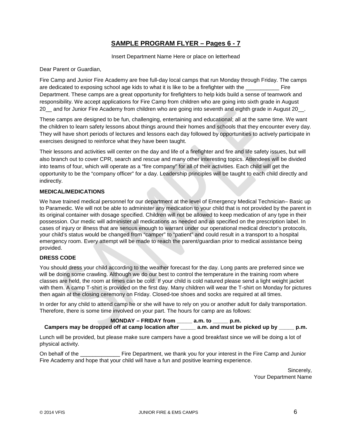## **SAMPLE PROGRAM FLYER – Pages 6 - 7**

Insert Department Name Here or place on letterhead

Dear Parent or Guardian,

Fire Camp and Junior Fire Academy are free full-day local camps that run Monday through Friday. The camps are dedicated to exposing school age kids to what it is like to be a firefighter with the \_\_\_\_\_\_\_\_\_\_\_ Fire Department. These camps are a great opportunity for firefighters to help kids build a sense of teamwork and responsibility. We accept applications for Fire Camp from children who are going into sixth grade in August 20 and for Junior Fire Academy from children who are going into seventh and eighth grade in August 20.

These camps are designed to be fun, challenging, entertaining and educational; all at the same time. We want the children to learn safety lessons about things around their homes and schools that they encounter every day. They will have short periods of lectures and lessons each day followed by opportunities to actively participate in exercises designed to reinforce what they have been taught.

Their lessons and activities will center on the day and life of a firefighter and fire and life safety issues, but will also branch out to cover CPR, search and rescue and many other interesting topics. Attendees will be divided into teams of four, which will operate as a "fire company" for all of their activities. Each child will get the opportunity to be the "company officer" for a day. Leadership principles will be taught to each child directly and indirectly.

## **MEDICAL/MEDICATIONS**

We have trained medical personnel for our department at the level of Emergency Medical Technician– Basic up to Paramedic. We will not be able to administer any medication to your child that is not provided by the parent in its original container with dosage specified. Children will not be allowed to keep medication of any type in their possession. Our medic will administer all medications as needed and as specified on the prescription label. In cases of injury or illness that are serious enough to warrant under our operational medical director's protocols, your child's status would be changed from "camper" to "patient" and could result in a transport to a hospital emergency room. Every attempt will be made to reach the parent/guardian prior to medical assistance being provided.

## **DRESS CODE**

You should dress your child according to the weather forecast for the day. Long pants are preferred since we will be doing some crawling. Although we do our best to control the temperature in the training room where classes are held, the room at times can be cold. If your child is cold natured please send a light weight jacket with them. A camp T-shirt is provided on the first day. Many children will wear the T-shirt on Monday for pictures then again at the closing ceremony on Friday. Closed-toe shoes and socks are required at all times.

In order for any child to attend camp he or she will have to rely on you or another adult for daily transportation. Therefore, there is some time involved on your part. The hours for camp are as follows:

**MONDAY – FRIDAY from \_\_\_\_\_ a.m. to \_\_\_\_\_ p.m.** 

**Campers may be dropped off at camp location after \_\_\_\_\_ a.m. and must be picked up by \_\_\_\_\_ p.m.** 

Lunch will be provided, but please make sure campers have a good breakfast since we will be doing a lot of physical activity.

On behalf of the \_\_\_\_\_\_\_\_\_\_\_\_\_\_\_\_ Fire Department, we thank you for your interest in the Fire Camp and Junior Fire Academy and hope that your child will have a fun and positive learning experience.

> Sincerely, Your Department Name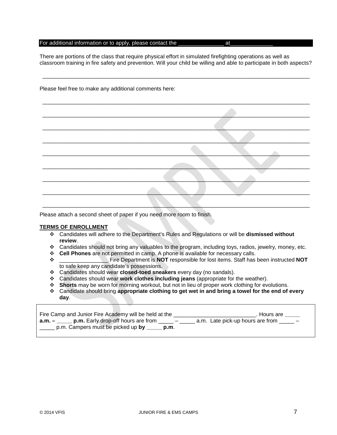#### For additional information or to apply, please contact the \_\_\_\_\_\_\_\_\_\_\_\_\_\_\_\_\_\_\_\_\_ at

There are portions of the class that require physical effort in simulated firefighting operations as well as classroom training in fire safety and prevention. Will your child be willing and able to participate in both aspects?

\_\_\_\_\_\_\_\_\_\_\_\_\_\_\_\_\_\_\_\_\_\_\_\_\_\_\_\_\_\_\_\_\_\_\_\_\_\_\_\_\_\_\_\_\_\_\_\_\_\_\_\_\_\_\_\_\_\_\_\_\_\_\_\_\_\_\_\_\_\_\_\_\_\_\_\_\_\_\_\_\_\_\_\_\_\_\_\_

\_\_\_\_\_\_\_\_\_\_\_\_\_\_\_\_\_\_\_\_\_\_\_\_\_\_\_\_\_\_\_\_\_\_\_\_\_\_\_\_\_\_\_\_\_\_\_\_\_\_\_\_\_\_\_\_\_\_\_\_\_\_\_\_\_\_\_\_\_\_\_\_\_\_\_\_\_\_\_\_\_\_\_\_\_\_\_\_

\_\_\_\_\_\_\_\_\_\_\_\_\_\_\_\_\_\_\_\_\_\_\_\_\_\_\_\_\_\_\_\_\_\_\_\_\_\_\_\_\_\_\_\_\_\_\_\_\_\_\_\_\_\_\_\_\_\_\_\_\_\_\_\_\_\_\_\_\_\_\_\_\_\_\_\_\_\_\_\_\_\_\_\_\_\_\_\_

\_\_\_\_\_\_\_\_\_\_\_\_\_\_\_\_\_\_\_\_\_\_\_\_\_\_\_\_\_\_\_\_\_\_\_\_\_\_\_\_\_\_\_\_\_\_\_\_\_\_\_\_\_\_\_\_\_\_\_\_\_\_\_\_\_\_\_\_\_\_\_\_\_\_\_\_\_\_\_\_\_\_\_\_\_\_\_\_

\_\_\_\_\_\_\_\_\_\_\_\_\_\_\_\_\_\_\_\_\_\_\_\_\_\_\_\_\_\_\_\_\_\_\_\_\_\_\_\_\_\_\_\_\_\_\_\_\_\_\_\_\_\_\_\_\_\_\_\_\_\_\_\_\_\_\_\_\_\_\_\_\_\_\_\_\_\_\_\_\_\_\_\_\_\_\_\_

\_\_\_\_\_\_\_\_\_\_\_\_\_\_\_\_\_\_\_\_\_\_\_\_\_\_\_\_\_\_\_\_\_\_\_\_\_\_\_\_\_\_\_\_\_\_\_\_\_\_\_\_\_\_\_\_\_\_\_\_\_\_\_\_\_\_\_\_\_\_\_\_\_\_\_\_\_\_\_\_\_\_\_\_\_\_\_\_

\_\_\_\_\_\_\_\_\_\_\_\_\_\_\_\_\_\_\_\_\_\_\_\_\_\_\_\_\_\_\_\_\_\_\_\_\_\_\_\_\_\_\_\_\_\_\_\_\_\_\_\_\_\_\_\_\_\_\_\_\_\_\_\_\_\_\_\_\_\_\_\_\_\_\_\_\_\_\_\_\_\_\_\_\_\_\_\_

\_\_\_\_\_\_\_\_\_\_\_\_\_\_\_\_\_\_\_\_\_\_\_\_\_\_\_\_\_\_\_\_\_\_\_\_\_\_\_\_\_\_\_\_\_\_\_\_\_\_\_\_\_\_\_\_\_\_\_\_\_\_\_\_\_\_\_\_\_\_\_\_\_\_\_\_\_\_\_\_\_\_\_\_\_\_\_\_

\_\_\_\_\_\_\_\_\_\_\_\_\_\_\_\_\_\_\_\_\_\_\_\_\_\_\_\_\_\_\_\_\_\_\_\_\_\_\_\_\_\_\_\_\_\_\_\_\_\_\_\_\_\_\_\_\_\_\_\_\_\_\_\_\_\_\_\_\_\_\_\_\_\_\_\_\_\_\_\_\_\_\_\_\_\_\_\_

\_\_\_\_\_\_\_\_\_\_\_\_\_\_\_\_\_\_\_\_\_\_\_\_\_\_\_\_\_\_\_\_\_\_\_\_\_\_\_\_\_\_\_\_\_\_\_\_\_\_\_\_\_\_\_\_\_\_\_\_\_\_\_\_\_\_\_\_\_\_\_\_\_\_\_\_\_\_\_\_\_\_\_\_\_\_\_\_

|  | Please feel free to make any additional comments here: |
|--|--------------------------------------------------------|
|--|--------------------------------------------------------|

| Please attach a second sheet of paper if you need more room to finish. |  |  |
|------------------------------------------------------------------------|--|--|
|                                                                        |  |  |

### **TERMS OF ENROLLMENT**

- Candidates will adhere to the Department's Rules and Regulations or will be **dismissed without review**.
- Candidates should not bring any valuables to the program, including toys, radios, jewelry, money, etc.
- **Cell Phones** are not permitted in camp. A phone is available for necessary calls.<br>Fire Department is **NOT** responsible for lost items. Staff has
- \_\_\_\_\_\_\_\_\_\_\_\_\_\_\_\_ Fire Department is **NOT** responsible for lost items. Staff has been instructed **NOT** to safe keep any candidate's possessions.
- Candidates should wear **closed-toed sneakers** every day (no sandals).
- Candidates should wear **work clothes including jeans** (appropriate for the weather).
- **Shorts** may be worn for morning workout, but not in lieu of proper work clothing for evolutions.
- Candidate should bring **appropriate clothing to get wet in and bring a towel for the end of every day**.

| Fire Camp and Junior Fire Academy will be held at the                                                                  | . Hours are                          |
|------------------------------------------------------------------------------------------------------------------------|--------------------------------------|
| $a.m. - \underline{\hspace{2cm}}$ p.m. Early drop-off hours are from<br>p.m. Campers must be picked up $by$ _____ p.m. | a.m. Late pick-up hours are from $-$ |
|                                                                                                                        |                                      |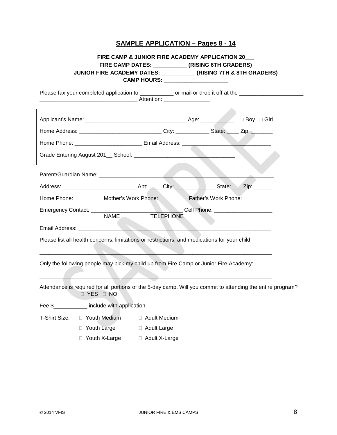## **SAMPLE APPLICATION – Pages 8 - 14**

## **FIRE CAMP & JUNIOR FIRE ACADEMY APPLICATION 20\_\_\_ FIRE CAMP DATES: \_\_\_\_\_\_\_\_\_\_\_ (RISING 6TH GRADERS) JUNIOR FIRE ACADEMY DATES: \_\_\_\_\_\_\_\_\_\_\_ (RISING 7TH & 8TH GRADERS) CAMP HOURS: \_\_\_\_\_\_\_\_\_\_\_\_\_\_\_\_\_\_\_\_\_**

| Please fax your completed application to ______________ or mail or drop it off at the _______________________             |           |  |  |
|---------------------------------------------------------------------------------------------------------------------------|-----------|--|--|
|                                                                                                                           |           |  |  |
| Home Address: _________________________City: __________State: _____ Zip: _______                                          |           |  |  |
| Home Phone: ______________________________ Email Address: ______________________                                          |           |  |  |
|                                                                                                                           |           |  |  |
|                                                                                                                           |           |  |  |
|                                                                                                                           |           |  |  |
| Home Phone: _________ Mother's Work Phone: ________ Father's Work Phone: _______                                          |           |  |  |
| <b>NAME</b>                                                                                                               | TELEPHONE |  |  |
|                                                                                                                           |           |  |  |
| Please list all health concerns, limitations or restrictions, and medications for your child:                             |           |  |  |
| Only the following people may pick my child up from Fire Camp or Junior Fire Academy:                                     |           |  |  |
| Attendance is required for all portions of the 5-day camp. Will you commit to attending the entire program?<br>D YES D NO |           |  |  |
| Fee \$_____________ include with application                                                                              |           |  |  |
| T-Shirt Size: □ Youth Medium □ Adult Medium                                                                               |           |  |  |
| □ Youth Large □ Adult Large                                                                                               |           |  |  |
| □ Youth X-Large □ Adult X-Large                                                                                           |           |  |  |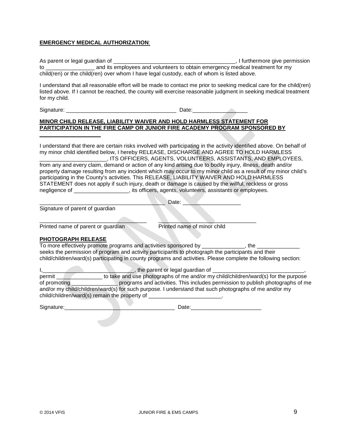## **EMERGENCY MEDICAL AUTHORIZATION**:

As parent or legal guardian of \_\_\_\_\_\_\_\_\_\_\_\_\_\_\_\_\_\_\_\_\_\_\_\_\_\_\_\_\_\_\_\_\_\_\_\_\_\_\_\_, I furthermore give permission to \_\_\_\_\_\_\_\_\_\_\_\_\_\_\_\_ and its employees and volunteers to obtain emergency medical treatment for my child(ren) or the child(ren) over whom I have legal custody, each of whom is listed above.

I understand that all reasonable effort will be made to contact me prior to seeking medical care for the child(ren) listed above. If I cannot be reached, the county will exercise reasonable judgment in seeking medical treatment for my child.

Signature: \_\_\_\_\_\_\_\_\_\_\_\_\_\_\_\_\_\_\_\_\_\_\_\_\_\_\_\_\_\_\_\_\_\_\_\_ Date:\_\_\_\_\_\_\_\_\_\_\_\_\_\_\_\_\_\_

## **MINOR CHILD RELEASE, LIABILITY WAIVER AND HOLD HARMLESS STATEMENT FOR PARTICIPATION IN THE FIRE CAMP OR JUNIOR FIRE ACADEMY PROGRAM SPONSORED BY**

I understand that there are certain risks involved with participating in the activity identified above. On behalf of my minor child identified below, I hereby RELEASE, DISCHARGE AND AGREE TO HOLD HARMLESS \_\_\_\_\_\_\_\_\_\_\_\_\_\_\_\_\_\_\_\_\_\_, ITS OFFICERS, AGENTS, VOLUNTEERS, ASSISTANTS, AND EMPLOYEES,

from any and every claim, demand or action of any kind arising due to bodily injury, illness, death and/or property damage resulting from any incident which may occur to my minor child as a result of my minor child's participating in the County's activities. This RELEASE, LIABILITY WAIVER AND HOLD HARMLESS STATEMENT does not apply if such injury, death or damage is caused by the willful, reckless or gross negligence of \_\_\_\_\_\_\_\_\_\_\_\_\_\_\_\_\_\_\_, its officers, agents, volunteers, assistants or employees.

Late:

Signature of parent of guardian

**\_\_\_\_\_\_\_\_\_\_\_\_\_\_\_\_\_\_\_\_**

\_\_\_\_\_\_\_\_\_\_\_\_\_\_\_\_\_\_\_\_\_\_\_\_\_\_\_\_\_\_\_\_\_\_\_ \_\_\_\_\_\_\_\_\_\_\_\_\_\_\_\_\_\_\_\_\_\_\_\_\_\_\_\_\_\_\_\_ Printed name of parent or guardian Printed name of minor child

### **PHOTOGRAPH RELEASE**

To more effectively promote programs and activities sponsored by \_\_\_\_\_\_\_\_\_\_\_\_\_\_, the \_\_\_\_\_\_\_\_\_\_\_\_\_\_ seeks the permission of program and activity participants to photograph the participants and their child/children/ward(s) participating in county programs and activities. Please complete the following section:

I,\_\_\_\_\_\_\_\_\_\_\_\_\_\_\_\_\_\_\_\_\_\_\_\_\_\_\_\_\_\_, the parent or legal guardian of \_\_\_\_\_\_\_\_\_\_\_\_\_\_\_\_\_\_\_\_\_\_\_\_\_\_\_\_\_\_, permit \_\_\_\_\_\_\_\_\_\_\_\_\_\_\_ to take and use photographs of me and/or my child/children/ward(s) for the purpose of promoting \_\_\_\_\_\_\_\_\_\_\_\_\_\_\_ programs and activities. This includes permission to publish photographs of me and/or my child/children/ward(s) for such purpose. I understand that such photographs of me and/or my child/children/ward(s) remain the property of

Signature:\_\_\_\_\_\_\_\_\_\_\_\_\_\_\_\_\_\_\_\_\_\_\_\_\_\_\_\_\_\_\_\_\_\_\_\_ Date:\_\_\_\_\_\_\_\_\_\_\_\_\_\_\_\_\_\_\_\_\_\_\_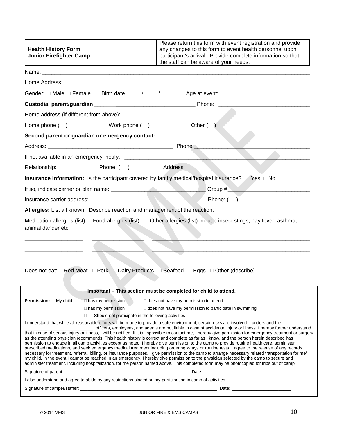| <b>Health History Form</b><br><b>Junior Firefighter Camp</b>                                                                            | Please return this form with event registration and provide<br>any changes to this form to event health personnel upon<br>participant's arrival. Provide complete information so that<br>the staff can be aware of your needs.                                                                                                                                                                                                                                                                                                                                                                                                                                                                                                                                                                                                                                                                                                                                                                                                                                |  |  |  |  |
|-----------------------------------------------------------------------------------------------------------------------------------------|---------------------------------------------------------------------------------------------------------------------------------------------------------------------------------------------------------------------------------------------------------------------------------------------------------------------------------------------------------------------------------------------------------------------------------------------------------------------------------------------------------------------------------------------------------------------------------------------------------------------------------------------------------------------------------------------------------------------------------------------------------------------------------------------------------------------------------------------------------------------------------------------------------------------------------------------------------------------------------------------------------------------------------------------------------------|--|--|--|--|
|                                                                                                                                         |                                                                                                                                                                                                                                                                                                                                                                                                                                                                                                                                                                                                                                                                                                                                                                                                                                                                                                                                                                                                                                                               |  |  |  |  |
|                                                                                                                                         |                                                                                                                                                                                                                                                                                                                                                                                                                                                                                                                                                                                                                                                                                                                                                                                                                                                                                                                                                                                                                                                               |  |  |  |  |
|                                                                                                                                         |                                                                                                                                                                                                                                                                                                                                                                                                                                                                                                                                                                                                                                                                                                                                                                                                                                                                                                                                                                                                                                                               |  |  |  |  |
|                                                                                                                                         |                                                                                                                                                                                                                                                                                                                                                                                                                                                                                                                                                                                                                                                                                                                                                                                                                                                                                                                                                                                                                                                               |  |  |  |  |
|                                                                                                                                         |                                                                                                                                                                                                                                                                                                                                                                                                                                                                                                                                                                                                                                                                                                                                                                                                                                                                                                                                                                                                                                                               |  |  |  |  |
|                                                                                                                                         | Home phone ( ) _______________ Work phone ( ) ____________ Other ( ) _______________________________                                                                                                                                                                                                                                                                                                                                                                                                                                                                                                                                                                                                                                                                                                                                                                                                                                                                                                                                                          |  |  |  |  |
| Second parent or guardian or emergency contact: ________________________________                                                        |                                                                                                                                                                                                                                                                                                                                                                                                                                                                                                                                                                                                                                                                                                                                                                                                                                                                                                                                                                                                                                                               |  |  |  |  |
|                                                                                                                                         |                                                                                                                                                                                                                                                                                                                                                                                                                                                                                                                                                                                                                                                                                                                                                                                                                                                                                                                                                                                                                                                               |  |  |  |  |
|                                                                                                                                         |                                                                                                                                                                                                                                                                                                                                                                                                                                                                                                                                                                                                                                                                                                                                                                                                                                                                                                                                                                                                                                                               |  |  |  |  |
|                                                                                                                                         |                                                                                                                                                                                                                                                                                                                                                                                                                                                                                                                                                                                                                                                                                                                                                                                                                                                                                                                                                                                                                                                               |  |  |  |  |
| Insurance information: Is the participant covered by family medical/hospital insurance? $\Box$ Yes $\Box$ No                            |                                                                                                                                                                                                                                                                                                                                                                                                                                                                                                                                                                                                                                                                                                                                                                                                                                                                                                                                                                                                                                                               |  |  |  |  |
|                                                                                                                                         |                                                                                                                                                                                                                                                                                                                                                                                                                                                                                                                                                                                                                                                                                                                                                                                                                                                                                                                                                                                                                                                               |  |  |  |  |
|                                                                                                                                         |                                                                                                                                                                                                                                                                                                                                                                                                                                                                                                                                                                                                                                                                                                                                                                                                                                                                                                                                                                                                                                                               |  |  |  |  |
| Allergies: List all known. Describe reaction and management of the reaction.                                                            |                                                                                                                                                                                                                                                                                                                                                                                                                                                                                                                                                                                                                                                                                                                                                                                                                                                                                                                                                                                                                                                               |  |  |  |  |
| Medication allergies (list)<br>Food allergies (list)<br>animal dander etc.                                                              | Other allergies (list) include insect stings, hay fever, asthma,                                                                                                                                                                                                                                                                                                                                                                                                                                                                                                                                                                                                                                                                                                                                                                                                                                                                                                                                                                                              |  |  |  |  |
|                                                                                                                                         | Does not eat: □ Red Meat □ Pork □ Dairy Products □ Seafood □ Eggs □ Other (describe)_______________                                                                                                                                                                                                                                                                                                                                                                                                                                                                                                                                                                                                                                                                                                                                                                                                                                                                                                                                                           |  |  |  |  |
|                                                                                                                                         | Important – This section must be completed for child to attend.                                                                                                                                                                                                                                                                                                                                                                                                                                                                                                                                                                                                                                                                                                                                                                                                                                                                                                                                                                                               |  |  |  |  |
| Permission:<br>My child<br>□ has my permission<br>$\Box$ has my permission                                                              | $\Box$ does not have my permission to attend<br>$\Box$ does not have my permission to participate in swimming                                                                                                                                                                                                                                                                                                                                                                                                                                                                                                                                                                                                                                                                                                                                                                                                                                                                                                                                                 |  |  |  |  |
| $\Box$                                                                                                                                  | Should not participate in the following activities _____________________________                                                                                                                                                                                                                                                                                                                                                                                                                                                                                                                                                                                                                                                                                                                                                                                                                                                                                                                                                                              |  |  |  |  |
| I understand that while all reasonable efforts will be made to provide a safe environment, certain risks are involved. I understand the | officers, employees, and agents are not liable in case of accidental injury or illness. I hereby further understand                                                                                                                                                                                                                                                                                                                                                                                                                                                                                                                                                                                                                                                                                                                                                                                                                                                                                                                                           |  |  |  |  |
|                                                                                                                                         | that in case of serious injury or illness, I will be notified. If it is impossible to contact me, I hereby give permission for emergency treatment or surgery<br>as the attending physician recommends. This health history is correct and complete as far as I know, and the person herein described has<br>permission to engage in all camp activities except as noted. I hereby give permission to the camp to provide routine health care, administer<br>prescribed medications, and seek emergency medical treatment including ordering x-rays or routine tests. I agree to the release of any records<br>necessary for treatment, referral, billing, or insurance purposes. I give permission to the camp to arrange necessary related transportation for me/<br>my child. In the event I cannot be reached in an emergency, I hereby give permission to the physician selected by the camp to secure and<br>administer treatment, including hospitalization, for the person named above. This completed form may be photocopied for trips out of camp. |  |  |  |  |
|                                                                                                                                         |                                                                                                                                                                                                                                                                                                                                                                                                                                                                                                                                                                                                                                                                                                                                                                                                                                                                                                                                                                                                                                                               |  |  |  |  |
| I also understand and agree to abide by any restrictions placed on my participation in camp of activities.                              |                                                                                                                                                                                                                                                                                                                                                                                                                                                                                                                                                                                                                                                                                                                                                                                                                                                                                                                                                                                                                                                               |  |  |  |  |
|                                                                                                                                         |                                                                                                                                                                                                                                                                                                                                                                                                                                                                                                                                                                                                                                                                                                                                                                                                                                                                                                                                                                                                                                                               |  |  |  |  |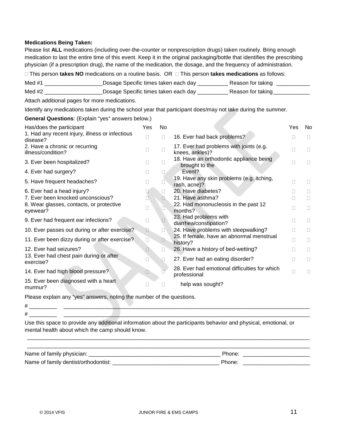## **Medications Being Taken:**

Please list **ALL** medications (including over-the-counter or nonprescription drugs) taken routinely. Bring enough medication to last the entire time of this event. Keep it in the original packaging/bottle that identifies the prescribing physician (if a prescription drug), the name of the medication, the dosage, and the frequency of administration.

This person **takes NO** medications on a routine basis. OR This person **takes medications** as follows:

| Med #1 | _Dosage Specific times taken each day _ | Reason for taking |
|--------|-----------------------------------------|-------------------|
| Med #2 | _Dosage Specific times taken each day _ | Reason for taking |

Attach additional pages for more medications.

Identify any medications taken during the school year that participant does/may not take during the summer.

**General Questions**: (Explain "yes" answers below.)

| Has/does the participant                                    | Yes          | No           |                                                               | Yes          | No |
|-------------------------------------------------------------|--------------|--------------|---------------------------------------------------------------|--------------|----|
| 1. Had any recent injury, illness or infectious<br>disease? |              | П            | 16. Ever had back problems?                                   |              |    |
| 2. Have a chronic or recurring<br>illness/condition?        |              | П            | 17. Ever had problems with joints (e.g.<br>knees, ankles)?    |              | u  |
| 3. Ever been hospitalized?                                  |              | Ш            | 18. Have an orthodontic appliance being<br>brought to the     | Ш            |    |
| 4. Ever had surgery?                                        | $\mathbf{L}$ |              | Event?                                                        |              |    |
| 5. Have frequent headaches?                                 |              |              | 19. Have any skin problems (e.g. itching,<br>rash, acne)?     | П            |    |
| 6. Ever had a head injury?                                  |              | $\mathbf{L}$ | 20. Have diabetes?                                            |              |    |
| 7. Ever been knocked unconscious?                           |              |              | 21. Have asthma?                                              | $\mathbf{L}$ |    |
| 8. Wear glasses, contacts, or protective<br>eyewear?        | Ш            | □            | 22. Had mononucleosis in the past 12<br>months?               | Ш            | П  |
| 9. Ever had frequent ear infections?                        | u            |              | 23. Had problems with<br>diarrhea/constipation?               |              |    |
| 10. Ever passes out during or after exercise?               | B            | $\Box$       | 24. Have problems with sleepwalking?                          | П            | П  |
| 11. Ever been dizzy during or after exercise?               | Ш            | O.           | 25. If female, have an abnormal menstrual<br>history?         | П            | П  |
| 12. Ever had seizures?                                      |              | Ш            | 26. Have a history of bed-wetting?                            |              |    |
| 13. Ever had chest pain during or after<br>exercise?        |              |              | 27. Ever had an eating disorder?                              | Н            |    |
| 14. Ever had high blood pressure?                           |              |              | 28. Ever had emotional difficulties for which<br>professional | П            |    |
| 15. Ever been diagnosed with a heart<br>murmur?             |              |              | help was sought?                                              |              |    |

Please explain any "yes" answers, noting the number of the questions. # \_\_\_\_\_\_\_\_\_ \_\_\_\_\_\_\_\_\_\_\_\_\_\_\_\_\_\_\_\_\_\_\_\_\_\_\_\_\_\_\_\_\_\_\_\_\_\_\_\_\_\_\_\_\_\_\_\_\_\_\_\_\_\_\_\_\_\_\_\_\_\_\_\_\_\_\_\_\_\_\_\_\_\_\_\_\_\_\_\_\_

Use this space to provide any additional information about the participants behavior and physical, emotional, or mental health about which the camp should know.

| Name of family physician:            | Phone: |
|--------------------------------------|--------|
| Name of family dentist/orthodontist: | Phone: |
|                                      |        |

\_\_\_\_\_\_\_\_\_\_\_\_\_\_\_\_\_\_\_\_\_\_\_\_\_\_\_\_\_\_\_\_\_\_\_\_\_\_\_\_\_\_\_\_\_\_\_\_\_\_\_\_\_\_\_\_\_\_\_\_\_\_\_\_\_\_\_\_\_\_\_\_\_\_\_\_\_\_\_\_\_\_\_\_\_\_\_\_\_\_\_\_\_

 $\#$   $\Box$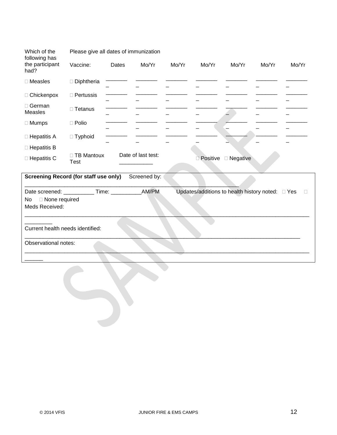| Which of the<br>following has                         | Please give all dates of immunization |       |                    |       |          |            |       |        |
|-------------------------------------------------------|---------------------------------------|-------|--------------------|-------|----------|------------|-------|--------|
| the participant<br>had?                               | Vaccine:                              | Dates | Mo/Yr              | Mo/Yr | Mo/Yr    | Mo/Yr      | Mo/Yr | Mo/Yr  |
| $\Box$ Measles                                        | $\Box$ Diphtheria                     |       |                    |       |          |            |       |        |
| □ Chickenpox                                          | $\Box$ Pertussis                      |       |                    |       |          |            |       |        |
| $\Box$ German<br><b>Measles</b>                       | □ Tetanus                             |       |                    |       |          |            |       |        |
| $\Box$ Mumps                                          | $\Box$ Polio                          |       |                    |       |          |            |       |        |
| $\Box$ Hepatitis A                                    | $\Box$ Typhoid                        |       |                    |       |          |            |       |        |
| $\Box$ Hepatitis B                                    |                                       |       |                    |       |          |            |       |        |
| □ Hepatitis C                                         | □ TB Mantoux<br>Test                  |       | Date of last test: |       | Positive | □ Negative |       |        |
| <b>Screening Record (for staff use only)</b>          |                                       |       | Screened by:       |       |          |            |       |        |
| Date screened: ____________Time: _______________AM/PM |                                       |       |                    |       |          |            |       | $\Box$ |
| □ None required<br>No<br>Meds Received:               |                                       |       |                    |       |          |            |       |        |
| Current health needs identified:                      |                                       |       |                    |       |          |            |       |        |
| Observational notes:                                  |                                       |       |                    |       |          |            |       |        |
|                                                       |                                       |       |                    |       |          |            |       |        |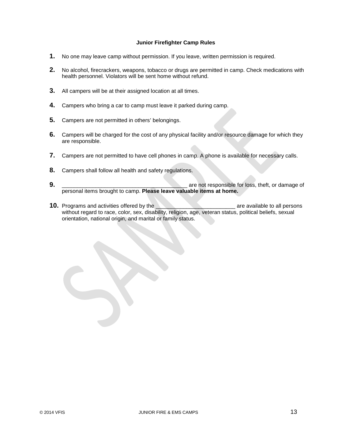## **Junior Firefighter Camp Rules**

- **1.** No one may leave camp without permission. If you leave, written permission is required.
- **2.** No alcohol, firecrackers, weapons, tobacco or drugs are permitted in camp. Check medications with health personnel. Violators will be sent home without refund.
- **3.** All campers will be at their assigned location at all times.
- **4.** Campers who bring a car to camp must leave it parked during camp.
- **5.** Campers are not permitted in others' belongings.
- **6.** Campers will be charged for the cost of any physical facility and/or resource damage for which they are responsible.
- **7.** Campers are not permitted to have cell phones in camp. A phone is available for necessary calls.
- **8.** Campers shall follow all health and safety regulations.
- **9.** \_\_\_\_\_\_\_\_\_\_\_\_\_\_\_\_\_\_\_\_\_\_\_\_\_\_\_\_\_\_\_\_\_\_\_\_\_\_\_\_\_ are not responsible for loss, theft, or damage of personal items brought to camp. **Please leave valuable items at home.**
- **10.** Programs and activities offered by the *Network are available to all persons* without regard to race, color, sex, disability, religion, age, veteran status, political beliefs, sexual orientation, national origin, and marital or family status.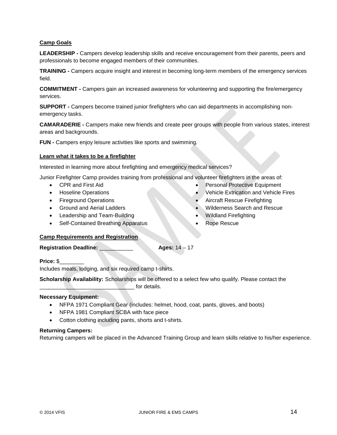## **Camp Goals**

**LEADERSHIP -** Campers develop leadership skills and receive encouragement from their parents, peers and professionals to become engaged members of their communities.

**TRAINING -** Campers acquire insight and interest in becoming long-term members of the emergency services field.

**COMMITMENT -** Campers gain an increased awareness for volunteering and supporting the fire/emergency services.

**SUPPORT -** Campers become trained junior firefighters who can aid departments in accomplishing nonemergency tasks.

**CAMARADERIE -** Campers make new friends and create peer groups with people from various states, interest areas and backgrounds.

**FUN -** Campers enjoy leisure activities like sports and swimming.

### **Learn what it takes to be a firefighter**

Interested in learning more about firefighting and emergency medical services?

Junior Firefighter Camp provides training from professional and volunteer firefighters in the areas of:

- CPR and First Aid
- Hoseline Operations
- Fireground Operations
- Ground and Aerial Ladders
- Leadership and Team-Building
- Self-Contained Breathing Apparatus
- Personal Protective Equipment
- Vehicle Extrication and Vehicle Fires
- Aircraft Rescue Firefighting
- Wilderness Search and Rescue
- Wildland Firefighting
- Rope Rescue

## **Camp Requirements and Registration**

**Registration Deadline:** \_\_\_\_\_\_\_\_\_\_\_ **Ages:** 14 – 17

**Price:** \$\_\_\_\_\_\_\_\_

Includes meals, lodging, and six required camp t-shirts.

**Scholarship Availability:** Scholarships will be offered to a select few who qualify. Please contact the for details.

## **Necessary Equipment:**

- NFPA 1971 Compliant Gear (includes: helmet, hood, coat, pants, gloves, and boots)
- NFPA 1981 Compliant SCBA with face piece
- Cotton clothing including pants, shorts and t-shirts.

### **Returning Campers:**

Returning campers will be placed in the Advanced Training Group and learn skills relative to his/her experience.